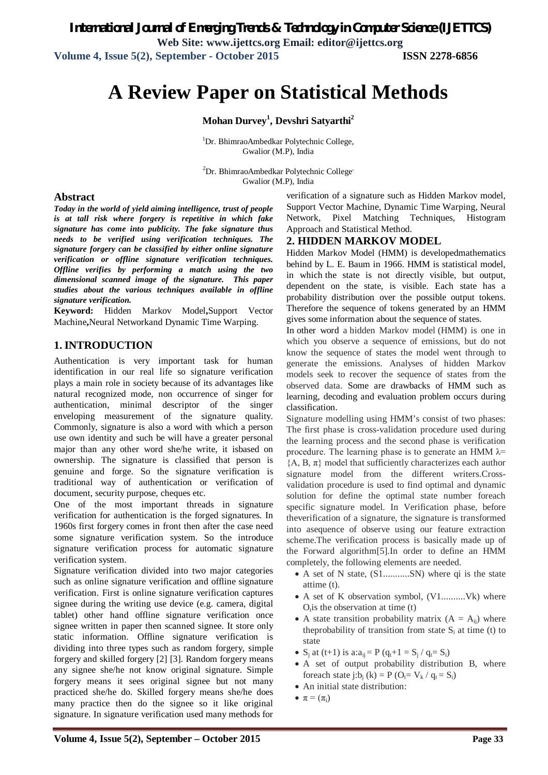*International Journal of Emerging Trends & Technology in Computer Science (IJETTCS)* **Web Site: www.ijettcs.org Email: editor@ijettcs.org Volume 4, Issue 5(2), September - October 2015 ISSN 2278-6856**

# **A Review Paper on Statistical Methods**

#### **Mohan Durvey<sup>1</sup> , Devshri Satyarthi<sup>2</sup>**

<sup>1</sup>Dr. BhimraoAmbedkar Polytechnic College, Gwalior (M.P), India

 ${}^{2}$ Dr. BhimraoAmbedkar Polytechnic College' Gwalior (M.P), India

#### **Abstract**

*Today in the world of yield aiming intelligence, trust of people is at tall risk where forgery is repetitive in which fake signature has come into publicity. The fake signature thus needs to be verified using verification techniques. The signature forgery can be classified by either online signature verification or offline signature verification techniques. Offline verifies by performing a match using the two dimensional scanned image of the signature. This paper studies about the various techniques available in offline signature verification.*

**Keyword:** Hidden Markov Model**,**Support Vector Machine**,**Neural Networkand Dynamic Time Warping.

#### **1. INTRODUCTION**

Authentication is very important task for human identification in our real life so signature verification plays a main role in society because of its advantages like natural recognized mode, non occurrence of singer for authentication, minimal descriptor of the singer enveloping measurement of the signature quality. Commonly, signature is also a word with which a person use own identity and such be will have a greater personal major than any other word she/he write, it isbased on ownership. The signature is classified that person is genuine and forge. So the signature verification is traditional way of authentication or verification of document, security purpose, cheques etc.

One of the most important threads in signature verification for authentication is the forged signatures. In 1960s first forgery comes in front then after the case need some signature verification system. So the introduce signature verification process for automatic signature verification system.

Signature verification divided into two major categories such as online signature verification and offline signature verification. First is online signature verification captures signee during the writing use device (e.g. camera, digital tablet) other hand offline signature verification once signee written in paper then scanned signee. It store only static information. Offline signature verification is dividing into three types such as random forgery, simple forgery and skilled forgery [2] [3]. Random forgery means any signee she/he not know original signature. Simple forgery means it sees original signee but not many practiced she/he do. Skilled forgery means she/he does many practice then do the signee so it like original signature. In signature verification used many methods for

verification of a signature such as Hidden Markov model, Support Vector Machine, Dynamic Time Warping, Neural Network, Pixel Matching Techniques, Histogram Approach and Statistical Method.

#### **2. HIDDEN MARKOV MODEL**

Hidden Markov Model (HMM) is developedmathematics behind by L. E. Baum in 1966. HMM is statistical model, in which the state is not directly visible, but output, dependent on the state, is visible. Each state has a probability distribution over the possible output tokens. Therefore the sequence of tokens generated by an HMM gives some information about the sequence of states.

In other word a hidden Markov model (HMM) is one in which you observe a sequence of emissions, but do not know the sequence of states the model went through to generate the emissions. Analyses of hidden Markov models seek to recover the sequence of states from the observed data. Some are drawbacks of HMM such as learning, decoding and evaluation problem occurs during classification.

Signature modelling using HMM's consist of two phases: The first phase is cross-validation procedure used during the learning process and the second phase is verification procedure. The learning phase is to generate an HMM  $\lambda$ =  ${A, B, \pi}$  model that sufficiently characterizes each author signature model from the different writers.Crossvalidation procedure is used to find optimal and dynamic solution for define the optimal state number foreach specific signature model. In Verification phase, before theverification of a signature, the signature is transformed into asequence of observe using our feature extraction scheme.The verification process is basically made up of the Forward algorithm[5].In order to define an HMM completely, the following elements are needed.

- A set of N state, (S1...........SN) where qi is the state attime (t).
- A set of K observation symbol, (V1..........Vk) where  $O<sub>t</sub>$  is the observation at time (t)
- A state transition probability matrix  $(A = A_{ii})$  where theprobability of transition from state  $S_i$  at time (t) to state
- S<sub>j</sub> at (t+1) is a: $a_{ij} = P (q_t + 1) = S_j / q_t = S_i$
- A set of output probability distribution B, where foreach state j:b<sub>i</sub> (k) = P (O<sub>t</sub>=  $V_k$  /  $q_t$  = S<sub>i</sub>)
- An initial state distribution:
- $\pi = (\pi_i)$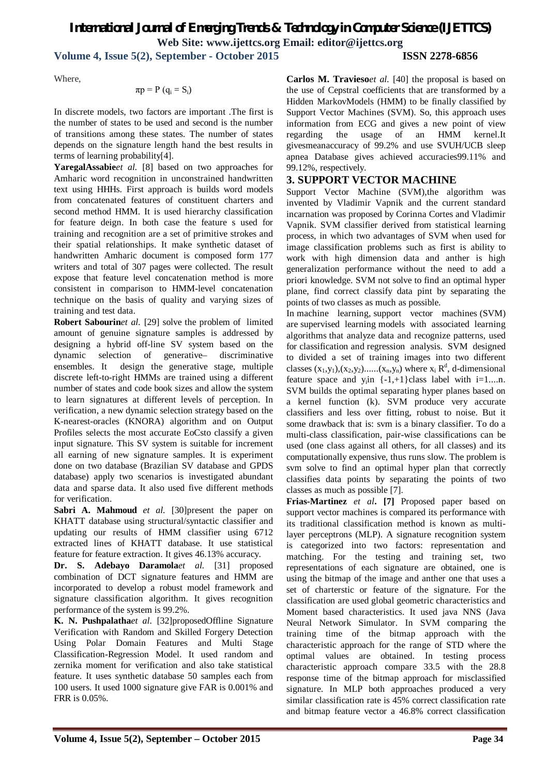**Volume 4, Issue 5(2), September - October 2015 ISSN 2278-6856**

Where,

$$
\pi p = P (q_i = S_i)
$$

In discrete models, two factors are important .The first is the number of states to be used and second is the number of transitions among these states. The number of states depends on the signature length hand the best results in terms of learning probability[4].

**YaregalAssabie***et al.* [8] based on two approaches for Amharic word recognition in unconstrained handwritten text using HHHs. First approach is builds word models from concatenated features of constituent charters and second method HMM. It is used hierarchy classification for feature deign. In both case the feature s used for training and recognition are a set of primitive strokes and their spatial relationships. It make synthetic dataset of handwritten Amharic document is composed form 177 writers and total of 307 pages were collected. The result expose that feature level concatenation method is more consistent in comparison to HMM-level concatenation technique on the basis of quality and varying sizes of training and test data.

**Robert Sabourin***et al.* [29] solve the problem of limited amount of genuine signature samples is addressed by designing a hybrid off-line SV system based on the dynamic selection of generative– discriminative ensembles. It design the generative stage, multiple discrete left-to-right HMMs are trained using a different number of states and code book sizes and allow the system to learn signatures at different levels of perception. In verification, a new dynamic selection strategy based on the K-nearest-oracles (KNORA) algorithm and on Output Profiles selects the most accurate EoCsto classify a given input signature. This SV system is suitable for increment all earning of new signature samples. It is experiment done on two database (Brazilian SV database and GPDS database) apply two scenarios is investigated abundant data and sparse data. It also used five different methods for verification.

Sabri A. Mahmoud et al. [30]present the paper on KHATT database using structural/syntactic classifier and updating our results of HMM classifier using 6712 extracted lines of KHATT database. It use statistical feature for feature extraction. It gives 46.13% accuracy.

**Dr. S. Adebayo Daramola***et al.* [31] proposed combination of DCT signature features and HMM are incorporated to develop a robust model framework and signature classification algorithm. It gives recognition performance of the system is 99.2%.

**K. N. Pushpalatha***et al.* [32]proposedOffline Signature Verification with Random and Skilled Forgery Detection Using Polar Domain Features and Multi Stage Classification-Regression Model. It used random and zernika moment for verification and also take statistical feature. It uses synthetic database 50 samples each from 100 users. It used 1000 signature give FAR is 0.001% and FRR is 0.05%.

**Carlos M. Travieso***et al.* [40] the proposal is based on the use of Cepstral coefficients that are transformed by a Hidden MarkovModels (HMM) to be finally classified by Support Vector Machines (SVM). So, this approach uses information from ECG and gives a new point of view regarding the usage of an HMM kernel.It givesmeanaccuracy of 99.2% and use SVUH/UCB sleep apnea Database gives achieved accuracies99.11% and 99.12%, respectively.

### **3. SUPPORT VECTOR MACHINE**

Support Vector Machine (SVM), the algorithm was invented by Vladimir Vapnik and the current standard incarnation was proposed by Corinna Cortes and Vladimir Vapnik. SVM classifier derived from statistical learning process, in which two advantages of SVM when used for image classification problems such as first is ability to work with high dimension data and anther is high generalization performance without the need to add a priori knowledge. SVM not solve to find an optimal hyper plane, find correct classify data pint by separating the points of two classes as much as possible.

In machine learning, support vector machines (SVM) are supervised learning models with associated learning algorithms that analyze data and recognize patterns, used for classification and regression analysis. SVM designed to divided a set of training images into two different classes  $(x_1,y_1),(x_2,y_2)$ ...... $(x_n,y_n)$  where  $x_i \mathbb{R}^d$ , d-dimensional feature space and  $y_i$  in  $\{-1, +1\}$ class label with i=1....n. SVM builds the optimal separating hyper planes based on a kernel function (k). SVM produce very accurate classifiers and less over fitting, robust to noise. But it some drawback that is: svm is a binary classifier. To do a multi-class classification, pair-wise classifications can be used (one class against all others, for all classes) and its computationally expensive, thus runs slow. The problem is svm solve to find an optimal hyper plan that correctly classifies data points by separating the points of two classes as much as possible [7].

**Frias-Martinez** *et al***. [7]** Proposed paper based on support vector machines is compared its performance with its traditional classification method is known as multilayer perceptrons (MLP). A signature recognition system is categorized into two factors: representation and matching. For the testing and training set, two representations of each signature are obtained, one is using the bitmap of the image and anther one that uses a set of charterstic or feature of the signature. For the classification are used global geometric characteristics and Moment based characteristics. It used java NNS (Java Neural Network Simulator. In SVM comparing the training time of the bitmap approach with the characteristic approach for the range of STD where the optimal values are obtained. In testing process characteristic approach compare 33.5 with the 28.8 response time of the bitmap approach for misclassified signature. In MLP both approaches produced a very similar classification rate is 45% correct classification rate and bitmap feature vector a 46.8% correct classification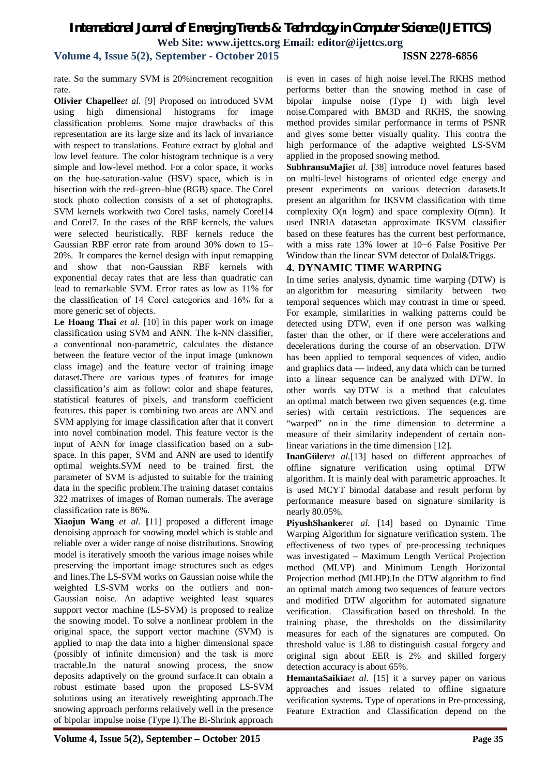**Volume 4, Issue 5(2), September - October 2015 ISSN 2278-6856**

rate. So the summary SVM is 20%increment recognition rate.

**Olivier Chapelle***et al.* [9] Proposed on introduced SVM using high dimensional histograms for image classification problems. Some major drawbacks of this representation are its large size and its lack of invariance with respect to translations. Feature extract by global and low level feature. The color histogram technique is a very simple and low-level method. For a color space, it works on the hue-saturation-value (HSV) space, which is in bisection with the red–green–blue (RGB) space. The Corel stock photo collection consists of a set of photographs. SVM kernels workwith two Corel tasks, namely Corel14 and Corel7. In the cases of the RBF kernels, the values were selected heuristically. RBF kernels reduce the Gaussian RBF error rate from around 30% down to 15– 20%. It compares the kernel design with input remapping and show that non-Gaussian RBF kernels with exponential decay rates that are less than quadratic can lead to remarkable SVM. Error rates as low as 11% for the classification of 14 Corel categories and 16% for a more generic set of objects.

**Le Hoang Thai** *et al.* [10] in this paper work on image classification using SVM and ANN. The k-NN classifier, a conventional non-parametric, calculates the distance between the feature vector of the input image (unknown class image) and the feature vector of training image dataset**.**There are various types of features for image classification's aim as follow: color and shape features, statistical features of pixels, and transform coefficient features. this paper is combining two areas are ANN and SVM applying for image classification after that it convert into novel combination model. This feature vector is the input of ANN for image classification based on a subspace. In this paper, SVM and ANN are used to identify optimal weights.SVM need to be trained first, the parameter of SVM is adjusted to suitable for the training data in the specific problem.The training dataset contains 322 matrixes of images of Roman numerals. The average classification rate is 86%.

**Xiaojun Wang** *et al.* **[**11] proposed a different image denoising approach for snowing model which is stable and reliable over a wider range of noise distributions. Snowing model is iteratively smooth the various image noises while preserving the important image structures such as edges and lines.The LS-SVM works on Gaussian noise while the weighted LS-SVM works on the outliers and non-Gaussian noise. An adaptive weighted least squares support vector machine (LS-SVM) is proposed to realize the snowing model. To solve a nonlinear problem in the original space, the support vector machine (SVM) is applied to map the data into a higher dimensional space (possibly of infinite dimension) and the task is more tractable.In the natural snowing process, the snow deposits adaptively on the ground surface.It can obtain a robust estimate based upon the proposed LS-SVM solutions using an iteratively reweighting approach.The snowing approach performs relatively well in the presence of bipolar impulse noise (Type I).The Bi-Shrink approach

is even in cases of high noise level.The RKHS method performs better than the snowing method in case of bipolar impulse noise (Type I) with high level noise.Compared with BM3D and RKHS, the snowing method provides similar performance in terms of PSNR and gives some better visually quality. This contra the high performance of the adaptive weighted LS-SVM applied in the proposed snowing method.

**SubhransuMaji***et al.* [38] introduce novel features based on multi-level histograms of oriented edge energy and present experiments on various detection datasets.It present an algorithm for IKSVM classification with time complexity O(n logm) and space complexity O(mn). It used INRIA datasetan approximate IKSVM classifier based on these features has the current best performance, with a miss rate 13% lower at 10−6 False Positive Per Window than the linear SVM detector of Dalal&Triggs.

#### **4. DYNAMIC TIME WARPING**

In time series analysis, dynamic time warping (DTW) is an algorithm for measuring similarity between two temporal sequences which may contrast in time or speed. For example, similarities in walking patterns could be detected using DTW, even if one person was walking faster than the other, or if there were accelerations and decelerations during the course of an observation. DTW has been applied to temporal sequences of video, audio and graphics data — indeed, any data which can be turned into a linear sequence can be analyzed with DTW. In other words say DTW is a method that calculates an optimal match between two given sequences (e.g. time series) with certain restrictions. The sequences are "warped" on in the time dimension to determine a measure of their similarity independent of certain nonlinear variations in the time dimension [12].

**InanGüler***et al.*[13] based on different approaches of offline signature verification using optimal DTW algorithm. It is mainly deal with parametric approaches. It is used MCYT bimodal database and result perform by performance measure based on signature similarity is nearly 80.05%.

**PiyushShanker***et al.* [14] based on Dynamic Time Warping Algorithm for signature verification system. The effectiveness of two types of pre-processing techniques was investigated – Maximum Length Vertical Projection method (MLVP) and Minimum Length Horizontal Projection method (MLHP).In the DTW algorithm to find an optimal match among two sequences of feature vectors and modified DTW algorithm for automated signature verification. Classification based on threshold. In the training phase, the thresholds on the dissimilarity measures for each of the signatures are computed. On threshold value is 1.88 to distinguish casual forgery and original sign about EER is 2% and skilled forgery detection accuracy is about 65%.

**HemantaSaikia***et al.* [15] it a survey paper on various approaches and issues related to offline signature verification systems**.** Type of operations in Pre-processing, Feature Extraction and Classification depend on the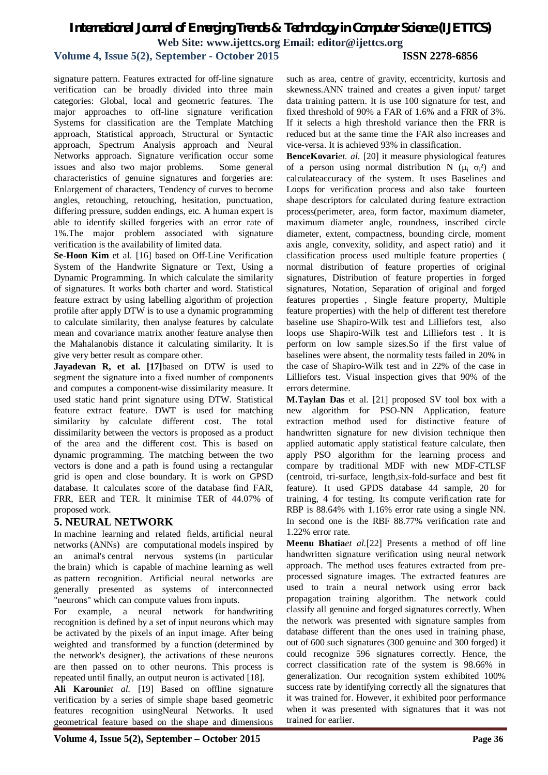#### **Volume 4, Issue 5(2), September - October 2015 ISSN 2278-6856**

signature pattern. Features extracted for off-line signature verification can be broadly divided into three main categories: Global, local and geometric features. The major approaches to off-line signature verification Systems for classification are the Template Matching approach, Statistical approach, Structural or Syntactic approach, Spectrum Analysis approach and Neural Networks approach. Signature verification occur some issues and also two major problems. Some general characteristics of genuine signatures and forgeries are: Enlargement of characters, Tendency of curves to become angles, retouching, retouching, hesitation, punctuation, differing pressure, sudden endings, etc. A human expert is able to identify skilled forgeries with an error rate of 1%.The major problem associated with signature verification is the availability of limited data.

**Se-Hoon Kim** et al. [16] based on Off-Line Verification System of the Handwrite Signature or Text, Using a Dynamic Programming. In which calculate the similarity of signatures. It works both charter and word. Statistical feature extract by using labelling algorithm of projection profile after apply DTW is to use a dynamic programming to calculate similarity, then analyse features by calculate mean and covariance matrix another feature analyse then the Mahalanobis distance it calculating similarity. It is give very better result as compare other.

**Jayadevan R, et al. [17]**based on DTW is used to segment the signature into a fixed number of components and computes a component-wise dissimilarity measure. It used static hand print signature using DTW. Statistical feature extract feature. DWT is used for matching similarity by calculate different cost. The total dissimilarity between the vectors is proposed as a product of the area and the different cost. This is based on dynamic programming. The matching between the two vectors is done and a path is found using a rectangular grid is open and close boundary. It is work on GPSD database. It calculates score of the database find FAR, FRR, EER and TER. It minimise TER of 44.07% of proposed work.

#### **5. NEURAL NETWORK**

In machine learning and related fields, artificial neural networks (ANNs) are computational models inspired by an animal's central nervous systems (in particular the brain) which is capable of machine learning as well as pattern recognition. Artificial neural networks are generally presented as systems of interconnected "neurons" which can compute values from inputs.

For example, a neural network for handwriting recognition is defined by a set of input neurons which may be activated by the pixels of an input image. After being weighted and transformed by a function (determined by the network's designer), the activations of these neurons are then passed on to other neurons. This process is repeated until finally, an output neuron is activated [18].

**Ali Karouni***et al.* [19] Based on offline signature verification by a series of simple shape based geometric features recognition usingNeural Networks. It used geometrical feature based on the shape and dimensions

such as area, centre of gravity, eccentricity, kurtosis and skewness.ANN trained and creates a given input/ target data training pattern. It is use 100 signature for test, and fixed threshold of 90% a FAR of 1.6% and a FRR of 3%. If it selects a high threshold variance then the FRR is reduced but at the same time the FAR also increases and vice-versa. It is achieved 93% in classification.

**BenceKovari***et. al.* [20] it measure physiological features of a person using normal distribution N ( $\mu_i$   $\sigma_i^2$ ) and calculateaccuracy of the system. It uses Baselines and Loops for verification process and also take fourteen shape descriptors for calculated during feature extraction process(perimeter, area, form factor, maximum diameter, maximum diameter angle, roundness, inscribed circle diameter, extent, compactness, bounding circle, moment axis angle, convexity, solidity, and aspect ratio) and it classification process used multiple feature properties ( normal distribution of feature properties of original signatures, Distribution of feature properties in forged signatures, Notation, Separation of original and forged features properties , Single feature property, Multiple feature properties) with the help of different test therefore baseline use Shapiro-Wilk test and Lilliefors test, also loops use Shapiro-Wilk test and Lilliefors test . It is perform on low sample sizes.So if the first value of baselines were absent, the normality tests failed in 20% in the case of Shapiro-Wilk test and in 22% of the case in Lilliefors test. Visual inspection gives that 90% of the errors determine.

**M.Taylan Das** et al. [21] proposed SV tool box with a new algorithm for PSO-NN Application, feature extraction method used for distinctive feature of handwritten signature for new division technique then applied automatic apply statistical feature calculate, then apply PSO algorithm for the learning process and compare by traditional MDF with new MDF-CTLSF (centroid, tri-surface, length,six-fold-surface and best fit feature). It used GPDS database 44 sample, 20 for training, 4 for testing. Its compute verification rate for RBP is 88.64% with 1.16% error rate using a single NN. In second one is the RBF 88.77% verification rate and 1.22% error rate.

**Meenu Bhatia***et al.*[22] Presents a method of off line handwritten signature verification using neural network approach. The method uses features extracted from preprocessed signature images. The extracted features are used to train a neural network using error back propagation training algorithm. The network could classify all genuine and forged signatures correctly. When the network was presented with signature samples from database different than the ones used in training phase, out of 600 such signatures (300 genuine and 300 forged) it could recognize 596 signatures correctly. Hence, the correct classification rate of the system is 98.66% in generalization. Our recognition system exhibited 100% success rate by identifying correctly all the signatures that it was trained for. However, it exhibited poor performance when it was presented with signatures that it was not trained for earlier.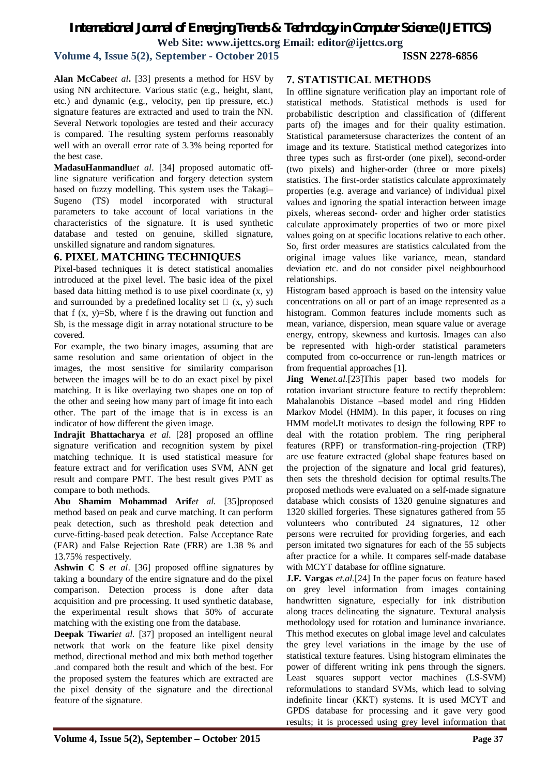**Volume 4, Issue 5(2), September - October 2015 ISSN 2278-6856**

**Alan McCabe***et al***.** [33] presents a method for HSV by using NN architecture. Various static (e.g., height, slant, etc.) and dynamic (e.g., velocity, pen tip pressure, etc.) signature features are extracted and used to train the NN. Several Network topologies are tested and their accuracy is compared. The resulting system performs reasonably well with an overall error rate of 3*.*3% being reported for the best case.

**MadasuHanmandlu***et al*. [34] proposed automatic offline signature verification and forgery detection system based on fuzzy modelling. This system uses the Takagi– Sugeno (TS) model incorporated with structural parameters to take account of local variations in the characteristics of the signature. It is used synthetic database and tested on genuine, skilled signature, unskilled signature and random signatures.

#### **6. PIXEL MATCHING TECHNIQUES**

Pixel-based techniques it is detect statistical anomalies introduced at the pixel level. The basic idea of the pixel based data hitting method is to use pixel coordinate  $(x, y)$ and surrounded by a predefined locality set  $\Box$  (x, y) such that  $f(x, y)=Sb$ , where  $f$  is the drawing out function and Sb, is the message digit in array notational structure to be covered.

For example, the two binary images, assuming that are same resolution and same orientation of object in the images, the most sensitive for similarity comparison between the images will be to do an exact pixel by pixel matching. It is like overlaying two shapes one on top of the other and seeing how many part of image fit into each other. The part of the image that is in excess is an indicator of how different the given image.

**Indrajit Bhattacharya** *et al.* [28] proposed an offline signature verification and recognition system by pixel matching technique. It is used statistical measure for feature extract and for verification uses SVM, ANN get result and compare PMT. The best result gives PMT as compare to both methods.

**Abu Shamim Mohammad Arif***et al.* [35]proposed method based on peak and curve matching. It can perform peak detection, such as threshold peak detection and curve-fitting-based peak detection. False Acceptance Rate (FAR) and False Rejection Rate (FRR) are 1.38 % and 13.75% respectively.

**Ashwin C S** *et al*. [36] proposed offline signatures by taking a boundary of the entire signature and do the pixel comparison. Detection process is done after data acquisition and pre processing. It used synthetic database, the experimental result shows that 50% of accurate matching with the existing one from the database.

**Deepak Tiwari***et al.* [37] proposed an intelligent neural network that work on the feature like pixel density method, directional method and mix both method together .and compared both the result and which of the best. For the proposed system the features which are extracted are the pixel density of the signature and the directional feature of the signature.

### **7. STATISTICAL METHODS**

In offline signature verification play an important role of statistical methods. Statistical methods is used for probabilistic description and classification of (different parts of) the images and for their quality estimation. Statistical parametersuse characterizes the content of an image and its texture. Statistical method categorizes into three types such as first-order (one pixel), second-order (two pixels) and higher-order (three or more pixels) statistics. The first-order statistics calculate approximately properties (e.g. average and variance) of individual pixel values and ignoring the spatial interaction between image pixels, whereas second- order and higher order statistics calculate approximately properties of two or more pixel values going on at specific locations relative to each other. So, first order measures are statistics calculated from the original image values like variance, mean, standard deviation etc. and do not consider pixel neighbourhood relationships.

Histogram based approach is based on the intensity value concentrations on all or part of an image represented as a histogram. Common features include moments such as mean, variance, dispersion, mean square value or average energy, entropy, skewness and kurtosis. Images can also be represented with high-order statistical parameters computed from co-occurrence or run-length matrices or from frequential approaches [1].

**Jing Wen***et.al.*[23]This paper based two models for rotation invariant structure feature to rectify theproblem: Mahalanobis Distance –based model and ring Hidden Markov Model (HMM). In this paper, it focuses on ring HMM model**.**It motivates to design the following RPF to deal with the rotation problem. The ring peripheral features (RPF) or transformation-ring-projection (TRP) are use feature extracted (global shape features based on the projection of the signature and local grid features), then sets the threshold decision for optimal results.The proposed methods were evaluated on a self-made signature database which consists of 1320 genuine signatures and 1320 skilled forgeries. These signatures gathered from 55 volunteers who contributed 24 signatures, 12 other persons were recruited for providing forgeries, and each person imitated two signatures for each of the 55 subjects after practice for a while. It compares self-made database with MCYT database for offline signature.

**J.F. Vargas** *et.al.*[24] In the paper focus on feature based on grey level information from images containing handwritten signature, especially for ink distribution along traces delineating the signature. Textural analysis methodology used for rotation and luminance invariance. This method executes on global image level and calculates the grey level variations in the image by the use of statistical texture features. Using histogram eliminates the power of different writing ink pens through the signers. Least squares support vector machines (LS-SVM) reformulations to standard SVMs, which lead to solving indefinite linear (KKT) systems. It is used MCYT and GPDS database for processing and it gave very good results; it is processed using grey level information that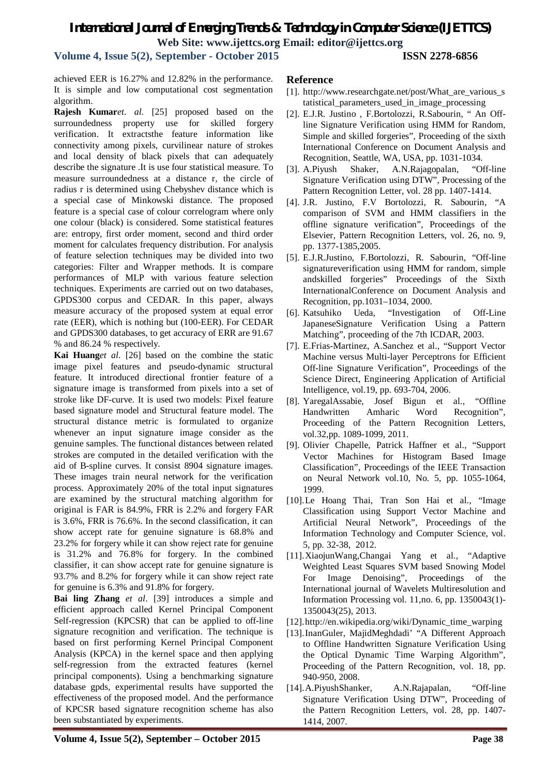**Volume 4, Issue 5(2), September - October 2015 ISSN 2278-6856**

achieved EER is 16.27% and 12.82% in the performance. It is simple and low computational cost segmentation algorithm.

**Rajesh Kumar***et. al.* [25] proposed based on the surroundedness property use for skilled forgery verification. It extractsthe feature information like connectivity among pixels, curvilinear nature of strokes and local density of black pixels that can adequately describe the signature .It is use four statistical measure. To measure surroundedness at a distance r, the circle of radius r is determined using Chebyshev distance which is a special case of Minkowski distance. The proposed feature is a special case of colour correlogram where only one colour (black) is considered. Some statistical features are: entropy, first order moment, second and third order moment for calculates frequency distribution. For analysis of feature selection techniques may be divided into two categories: Filter and Wrapper methods. It is compare performances of MLP with various feature selection techniques. Experiments are carried out on two databases, GPDS300 corpus and CEDAR. In this paper, always measure accuracy of the proposed system at equal error rate (EER), which is nothing but (100-EER). For CEDAR and GPDS300 databases, to get accuracy of ERR are 91.67 % and 86.24 % respectively.

**Kai Huang***et al*. [26] based on the combine the static image pixel features and pseudo-dynamic structural feature. It introduced directional frontier feature of a signature image is transformed from pixels into a set of stroke like DF-curve. It is used two models: Pixel feature based signature model and Structural feature model. The structural distance metric is formulated to organize whenever an input signature image consider as the genuine samples. The functional distances between related strokes are computed in the detailed verification with the aid of B-spline curves. It consist 8904 signature images. These images train neural network for the verification process. Approximately 20% of the total input signatures are examined by the structural matching algorithm for original is FAR is 84.9%, FRR is 2.2% and forgery FAR is 3.6%, FRR is 76.6%. In the second classification, it can show accept rate for genuine signature is 68.8% and 23.2% for forgery while it can show reject rate for genuine is 31.2% and 76.8% for forgery. In the combined classifier, it can show accept rate for genuine signature is 93.7% and 8.2% for forgery while it can show reject rate for genuine is 6.3% and 91.8% for forgery.

**Bai ling Zhang** *et al*. [39] introduces a simple and efficient approach called Kernel Principal Component Self-regression (KPCSR) that can be applied to off-line signature recognition and verification. The technique is based on first performing Kernel Principal Component Analysis (KPCA) in the kernel space and then applying self-regression from the extracted features (kernel principal components). Using a benchmarking signature database gpds, experimental results have supported the effectiveness of the proposed model. And the performance of KPCSR based signature recognition scheme has also been substantiated by experiments.

#### **Reference**

- [1]. http://www.researchgate.net/post/What are various s tatistical\_parameters\_used\_in\_image\_processing
- [2]. E.J.R. Justino , F.Bortolozzi, R.Sabourin, " An Offline Signature Verification using HMM for Random, Simple and skilled forgeries", Proceeding of the sixth International Conference on Document Analysis and Recognition, Seattle, WA, USA, pp. 1031-1034.
- [3]. A.Piyush Shaker, A.N.Rajagopalan, "Off-line Signature Verification using DTW", Processing of the Pattern Recognition Letter, vol. 28 pp. 1407-1414.
- [4]. J.R. Justino, F.V Bortolozzi, R. Sabourin, "A comparison of SVM and HMM classifiers in the offline signature verification", Proceedings of the Elsevier, Pattern Recognition Letters, vol. 26, no. 9, pp. 1377-1385,2005.
- [5]. E.J.R.Justino, F.Bortolozzi, R. Sabourin, "Off-line signatureverification using HMM for random, simple andskilled forgeries" Proceedings of the Sixth InternationalConference on Document Analysis and Recognition, pp.1031–1034, 2000.
- [6]. Katsuhiko Ueda, "Investigation of Off-Line JapaneseSignature Verification Using a Pattern Matching", proceeding of the 7th ICDAR, 2003.
- [7]. E.Frias-Martinez, A.Sanchez et al., "Support Vector Machine versus Multi-layer Perceptrons for Efficient Off-line Signature Verification", Proceedings of the Science Direct, Engineering Application of Artificial Intelligence, vol.19, pp. 693-704, 2006.
- [8]. YaregalAssabie, Josef Bigun et al., "Offline Handwritten Amharic Word Recognition", Proceeding of the Pattern Recognition Letters, vol.32,pp. 1089-1099, 2011.
- [9]. Olivier Chapelle, Patrick Haffner et al., "Support Vector Machines for Histogram Based Image Classification", Proceedings of the IEEE Transaction on Neural Network vol.10, No. 5, pp. 1055-1064, 1999.
- [10].Le Hoang Thai, Tran Son Hai et al., "Image Classification using Support Vector Machine and Artificial Neural Network", Proceedings of the Information Technology and Computer Science, vol. 5, pp. 32-38, 2012.
- [11].XiaojunWang,Changai Yang et al., "Adaptive Weighted Least Squares SVM based Snowing Model For Image Denoising", Proceedings of the International journal of Wavelets Multiresolution and Information Processing vol. 11,no. 6, pp. 1350043(1)- 1350043(25), 2013.
- [12].http://en.wikipedia.org/wiki/Dynamic\_time\_warping
- [13].InanGuler, MajidMeghdadi' "A Different Approach to Offline Handwritten Signature Verification Using the Optical Dynamic Time Warping Algorithm", Proceeding of the Pattern Recognition, vol. 18, pp. 940-950, 2008.
- [14].A.PiyushShanker, A.N.Rajapalan, "Off-line Signature Verification Using DTW", Proceeding of the Pattern Recognition Letters, vol. 28, pp. 1407- 1414, 2007.